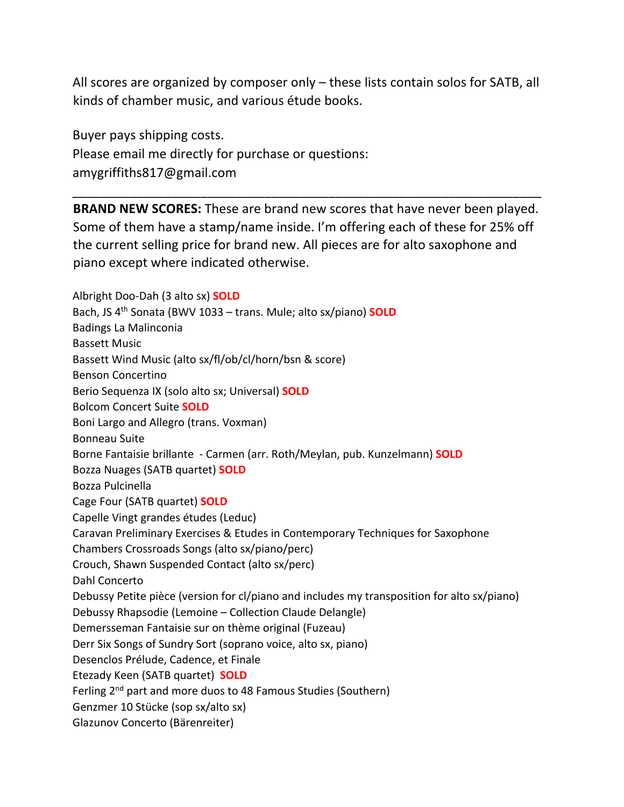All scores are organized by composer only – these lists contain solos for SATB, all kinds of chamber music, and various étude books.

Buyer pays shipping costs. Please email me directly for purchase or questions: amygriffiths817@gmail.com

**BRAND NEW SCORES:** These are brand new scores that have never been played. Some of them have a stamp/name inside. I'm offering each of these for 25% off the current selling price for brand new. All pieces are for alto saxophone and piano except where indicated otherwise.

\_\_\_\_\_\_\_\_\_\_\_\_\_\_\_\_\_\_\_\_\_\_\_\_\_\_\_\_\_\_\_\_\_\_\_\_\_\_\_\_\_\_\_\_\_\_\_\_\_\_\_\_\_\_\_\_\_\_\_\_\_\_\_\_\_\_

Albright Doo-Dah (3 alto sx) **SOLD** Bach, JS 4th Sonata (BWV 1033 – trans. Mule; alto sx/piano) **SOLD** Badings La Malinconia Bassett Music Bassett Wind Music (alto sx/fl/ob/cl/horn/bsn & score) Benson Concertino Berio Sequenza IX (solo alto sx; Universal) **SOLD** Bolcom Concert Suite **SOLD** Boni Largo and Allegro (trans. Voxman) Bonneau Suite Borne Fantaisie brillante - Carmen (arr. Roth/Meylan, pub. Kunzelmann) **SOLD** Bozza Nuages (SATB quartet) **SOLD** Bozza Pulcinella Cage Four (SATB quartet) **SOLD** Capelle Vingt grandes études (Leduc) Caravan Preliminary Exercises & Etudes in Contemporary Techniques for Saxophone Chambers Crossroads Songs (alto sx/piano/perc) Crouch, Shawn Suspended Contact (alto sx/perc) Dahl Concerto Debussy Petite pièce (version for cl/piano and includes my transposition for alto sx/piano) Debussy Rhapsodie (Lemoine – Collection Claude Delangle) Demersseman Fantaisie sur on thème original (Fuzeau) Derr Six Songs of Sundry Sort (soprano voice, alto sx, piano) Desenclos Prélude, Cadence, et Finale Etezady Keen (SATB quartet) **SOLD** Ferling 2<sup>nd</sup> part and more duos to 48 Famous Studies (Southern) Genzmer 10 Stücke (sop sx/alto sx) Glazunov Concerto (Bärenreiter)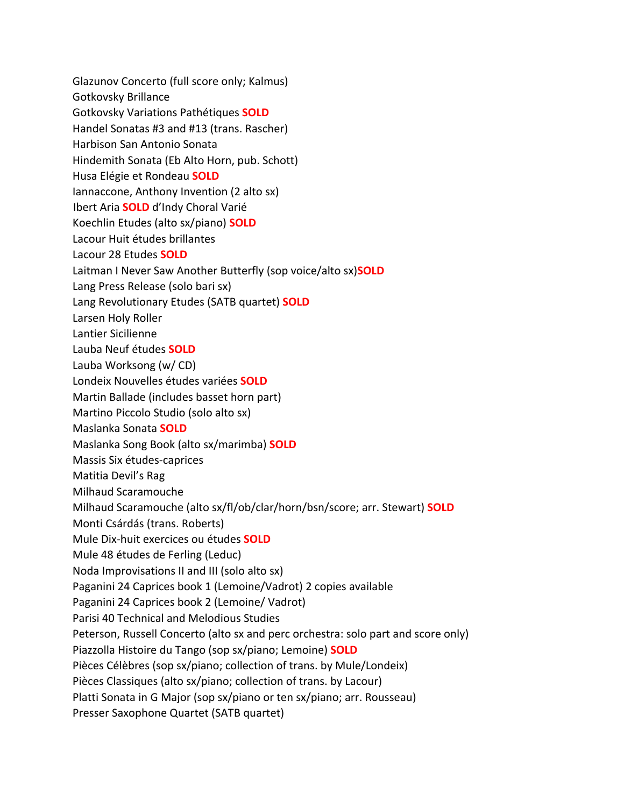Glazunov Concerto (full score only; Kalmus) Gotkovsky Brillance Gotkovsky Variations Pathétiques **SOLD** Handel Sonatas #3 and #13 (trans. Rascher) Harbison San Antonio Sonata Hindemith Sonata (Eb Alto Horn, pub. Schott) Husa Elégie et Rondeau **SOLD** Iannaccone, Anthony Invention (2 alto sx) Ibert Aria **SOLD** d'Indy Choral Varié Koechlin Etudes (alto sx/piano) **SOLD** Lacour Huit études brillantes Lacour 28 Etudes **SOLD** Laitman I Never Saw Another Butterfly (sop voice/alto sx)**SOLD**  Lang Press Release (solo bari sx) Lang Revolutionary Etudes (SATB quartet) **SOLD** Larsen Holy Roller Lantier Sicilienne Lauba Neuf études **SOLD** Lauba Worksong (w/ CD) Londeix Nouvelles études variées **SOLD** Martin Ballade (includes basset horn part) Martino Piccolo Studio (solo alto sx) Maslanka Sonata **SOLD** Maslanka Song Book (alto sx/marimba) **SOLD** Massis Six études-caprices Matitia Devil's Rag Milhaud Scaramouche Milhaud Scaramouche (alto sx/fl/ob/clar/horn/bsn/score; arr. Stewart) **SOLD** Monti Csárdás (trans. Roberts) Mule Dix-huit exercices ou études **SOLD** Mule 48 études de Ferling (Leduc) Noda Improvisations II and III (solo alto sx) Paganini 24 Caprices book 1 (Lemoine/Vadrot) 2 copies available Paganini 24 Caprices book 2 (Lemoine/ Vadrot) Parisi 40 Technical and Melodious Studies Peterson, Russell Concerto (alto sx and perc orchestra: solo part and score only) Piazzolla Histoire du Tango (sop sx/piano; Lemoine) **SOLD** Pièces Célèbres (sop sx/piano; collection of trans. by Mule/Londeix) Pièces Classiques (alto sx/piano; collection of trans. by Lacour) Platti Sonata in G Major (sop sx/piano or ten sx/piano; arr. Rousseau) Presser Saxophone Quartet (SATB quartet)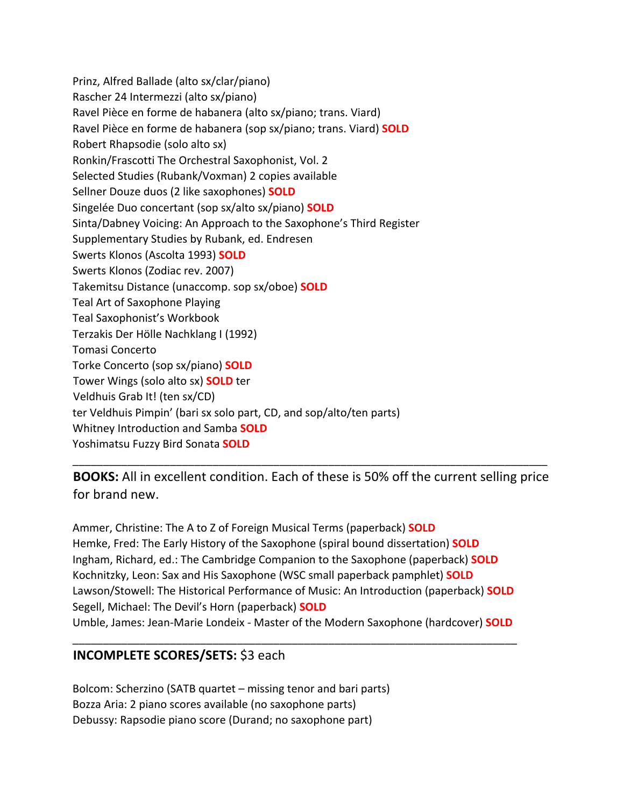Prinz, Alfred Ballade (alto sx/clar/piano) Rascher 24 Intermezzi (alto sx/piano) Ravel Pièce en forme de habanera (alto sx/piano; trans. Viard) Ravel Pièce en forme de habanera (sop sx/piano; trans. Viard) **SOLD** Robert Rhapsodie (solo alto sx) Ronkin/Frascotti The Orchestral Saxophonist, Vol. 2 Selected Studies (Rubank/Voxman) 2 copies available Sellner Douze duos (2 like saxophones) **SOLD** Singelée Duo concertant (sop sx/alto sx/piano) **SOLD** Sinta/Dabney Voicing: An Approach to the Saxophone's Third Register Supplementary Studies by Rubank, ed. Endresen Swerts Klonos (Ascolta 1993) **SOLD** Swerts Klonos (Zodiac rev. 2007) Takemitsu Distance (unaccomp. sop sx/oboe) **SOLD** Teal Art of Saxophone Playing Teal Saxophonist's Workbook Terzakis Der Hölle Nachklang I (1992) Tomasi Concerto Torke Concerto (sop sx/piano) **SOLD** Tower Wings (solo alto sx) **SOLD** ter Veldhuis Grab It! (ten sx/CD) ter Veldhuis Pimpin' (bari sx solo part, CD, and sop/alto/ten parts) Whitney Introduction and Samba **SOLD** Yoshimatsu Fuzzy Bird Sonata **SOLD**

**BOOKS:** All in excellent condition. Each of these is 50% off the current selling price for brand new.

\_\_\_\_\_\_\_\_\_\_\_\_\_\_\_\_\_\_\_\_\_\_\_\_\_\_\_\_\_\_\_\_\_\_\_\_\_\_\_\_\_\_\_\_\_\_\_\_\_\_\_\_\_\_\_\_\_\_\_\_\_\_\_\_\_\_\_\_\_\_\_\_\_\_\_\_\_\_

Ammer, Christine: The A to Z of Foreign Musical Terms (paperback) **SOLD** Hemke, Fred: The Early History of the Saxophone (spiral bound dissertation) **SOLD** Ingham, Richard, ed.: The Cambridge Companion to the Saxophone (paperback) **SOLD** Kochnitzky, Leon: Sax and His Saxophone (WSC small paperback pamphlet) **SOLD** Lawson/Stowell: The Historical Performance of Music: An Introduction (paperback) **SOLD** Segell, Michael: The Devil's Horn (paperback) **SOLD** Umble, James: Jean-Marie Londeix - Master of the Modern Saxophone (hardcover) **SOLD**

\_\_\_\_\_\_\_\_\_\_\_\_\_\_\_\_\_\_\_\_\_\_\_\_\_\_\_\_\_\_\_\_\_\_\_\_\_\_\_\_\_\_\_\_\_\_\_\_\_\_\_\_\_\_\_\_\_\_\_\_\_\_\_\_\_\_\_\_\_\_\_\_\_

## **INCOMPLETE SCORES/SETS:** \$3 each

Bolcom: Scherzino (SATB quartet – missing tenor and bari parts) Bozza Aria: 2 piano scores available (no saxophone parts) Debussy: Rapsodie piano score (Durand; no saxophone part)